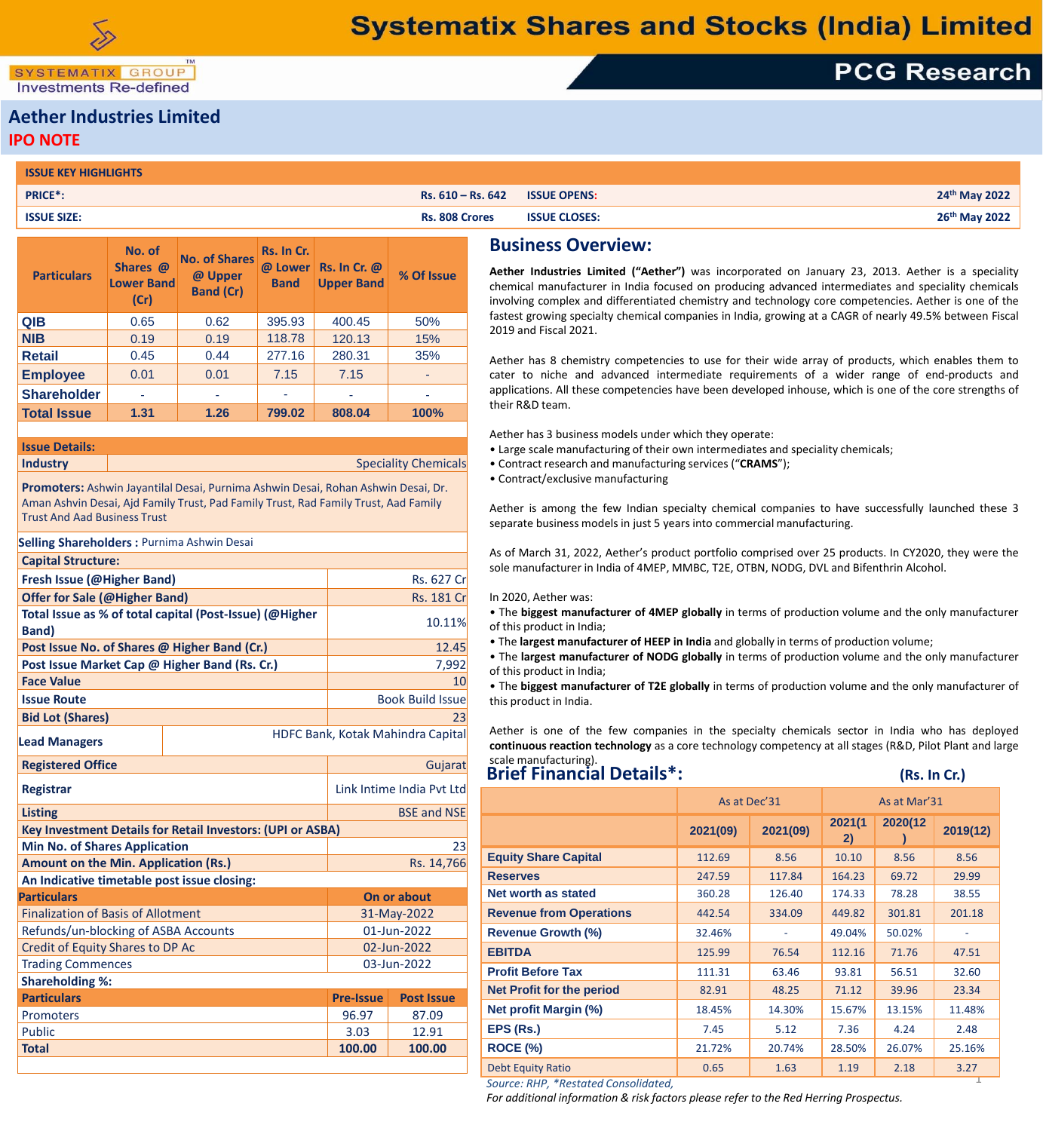SYSTEMATIX GROUP **Investments Re-defined** 

# **PCG Research**

### **Aether Industries Limited IPO NOTE**

| <b>ISSUE KEY HIGHLIGHTS</b> |                       |                      |                           |
|-----------------------------|-----------------------|----------------------|---------------------------|
| PRICE*                      | $RS. 610 - Rs. 642$   | <b>ISSUE OPENS:</b>  | 24th May 2022             |
| <b>ISSUE SIZE:</b>          | <b>Rs. 808 Crores</b> | <b>ISSUE CLOSES:</b> | 26 <sup>th</sup> May 2022 |

| <b>Particulars</b> | No. of<br>Shares @<br><b>Lower Band</b><br>(Cr) | <b>No. of Shares</b><br>@ Upper<br><b>Band (Cr)</b> | Rs. In Cr.<br>@ Lower<br><b>Band</b> | <b>Rs. In Cr. @</b><br><b>Upper Band</b> | % Of Issue |
|--------------------|-------------------------------------------------|-----------------------------------------------------|--------------------------------------|------------------------------------------|------------|
| <b>QIB</b>         | 0.65                                            | 0.62                                                | 395.93                               | 400.45                                   | 50%        |
| <b>NIB</b>         | 0.19                                            | 0.19                                                | 118.78                               | 120.13                                   | 15%        |
| <b>Retail</b>      | 0.45                                            | 0.44                                                | 277.16                               | 280.31                                   | 35%        |
| <b>Employee</b>    | 0.01                                            | 0.01                                                | 7.15                                 | 7.15                                     |            |
| <b>Shareholder</b> | ٠                                               |                                                     |                                      |                                          | ٠          |
| <b>Total Issue</b> | 1.31                                            | 1.26                                                | 799.02                               | 808.04                                   | 100%       |
|                    |                                                 |                                                     |                                      |                                          |            |

**Issue Details:**

**Industry Speciality Chemicals** 

**Promoters:** Ashwin Jayantilal Desai, Purnima Ashwin Desai, Rohan Ashwin Desai, Dr. Aman Ashvin Desai, Ajd Family Trust, Pad Family Trust, Rad Family Trust, Aad Family Trust And Aad Business Trust

| <b>Selling Shareholders: Purnima Ashwin Desai</b>                 |                                   |                         |  |  |  |  |
|-------------------------------------------------------------------|-----------------------------------|-------------------------|--|--|--|--|
| <b>Capital Structure:</b>                                         |                                   |                         |  |  |  |  |
| Fresh Issue (@Higher Band)                                        | <b>Rs. 627 Cr</b>                 |                         |  |  |  |  |
| <b>Offer for Sale (@Higher Band)</b>                              | <b>Rs. 181 Cr</b>                 |                         |  |  |  |  |
| Total Issue as % of total capital (Post-Issue) (@Higher           | 10.11%                            |                         |  |  |  |  |
| <b>Band</b> )                                                     |                                   |                         |  |  |  |  |
| Post Issue No. of Shares @ Higher Band (Cr.)                      | 12.45                             |                         |  |  |  |  |
| Post Issue Market Cap @ Higher Band (Rs. Cr.)                     | 7,992                             |                         |  |  |  |  |
| <b>Face Value</b>                                                 |                                   | 10                      |  |  |  |  |
| <b>Issue Route</b>                                                |                                   | <b>Book Build Issue</b> |  |  |  |  |
| <b>Bid Lot (Shares)</b>                                           |                                   | 23                      |  |  |  |  |
| <b>Lead Managers</b>                                              | HDFC Bank, Kotak Mahindra Capital |                         |  |  |  |  |
| <b>Registered Office</b>                                          | Gujarat                           |                         |  |  |  |  |
| Link Intime India Pyt Ltd<br><b>Registrar</b>                     |                                   |                         |  |  |  |  |
| <b>Listing</b>                                                    | <b>BSE and NSE</b>                |                         |  |  |  |  |
| <b>Key Investment Details for Retail Investors: (UPI or ASBA)</b> |                                   |                         |  |  |  |  |
| <b>Min No. of Shares Application</b>                              |                                   | 23                      |  |  |  |  |
| <b>Amount on the Min. Application (Rs.)</b>                       | Rs. 14,766                        |                         |  |  |  |  |
| An Indicative timetable post issue closing:                       |                                   |                         |  |  |  |  |
| <b>Particulars</b>                                                | On or about                       |                         |  |  |  |  |
| <b>Finalization of Basis of Allotment</b>                         | 31-May-2022                       |                         |  |  |  |  |
| Refunds/un-blocking of ASBA Accounts                              | 01-Jun-2022                       |                         |  |  |  |  |
| <b>Credit of Equity Shares to DP Ac</b>                           | 02-Jun-2022                       |                         |  |  |  |  |
| <b>Trading Commences</b>                                          | 03-Jun-2022                       |                         |  |  |  |  |
| <b>Shareholding %:</b>                                            |                                   |                         |  |  |  |  |
| <b>Particulars</b>                                                | <b>Pre-Issue</b>                  | <b>Post Issue</b>       |  |  |  |  |
| Promoters                                                         | 96.97                             | 87.09                   |  |  |  |  |
| <b>Public</b>                                                     | 3.03                              | 12.91                   |  |  |  |  |
| <b>Total</b>                                                      | 100.00                            | 100.00                  |  |  |  |  |

### **Business Overview:**

**Aether Industries Limited ("Aether")** was incorporated on January 23, 2013. Aether is a speciality chemical manufacturer in India focused on producing advanced intermediates and speciality chemicals involving complex and differentiated chemistry and technology core competencies. Aether is one of the fastest growing specialty chemical companies in India, growing at a CAGR of nearly 49.5% between Fiscal 2019 and Fiscal 2021.

Aether has 8 chemistry competencies to use for their wide array of products, which enables them to cater to niche and advanced intermediate requirements of a wider range of end-products and applications. All these competencies have been developed inhouse, which is one of the core strengths of their R&D team.

Aether has 3 business models under which they operate:

- Large scale manufacturing of their own intermediates and speciality chemicals;
- Contract research and manufacturing services ("**CRAMS**");
- Contract/exclusive manufacturing

Aether is among the few Indian specialty chemical companies to have successfully launched these 3 separate business models in just 5 years into commercial manufacturing.

As of March 31, 2022, Aether's product portfolio comprised over 25 products. In CY2020, they were the sole manufacturer in India of 4MEP, MMBC, T2E, OTBN, NODG, DVL and Bifenthrin Alcohol.

In 2020, Aether was:

• The **biggest manufacturer of 4MEP globally** in terms of production volume and the only manufacturer of this product in India;

- The **largest manufacturer of HEEP in India** and globally in terms of production volume;
- The **largest manufacturer of NODG globally** in terms of production volume and the only manufacturer of this product in India;

• The **biggest manufacturer of T2E globally** in terms of production volume and the only manufacturer of this product in India.

Aether is one of the few companies in the specialty chemicals sector in India who has deployed **continuous reaction technology** as a core technology competency at all stages (R&D, Pilot Plant and large scale manufacturing).

### **Brief Financial Details\*:** (Rs. In Cr.)

|                                    | As at Dec'31 |          | As at Mar'31 |         |          |  |
|------------------------------------|--------------|----------|--------------|---------|----------|--|
|                                    | 2021(09)     | 2021(09) | 2021(1<br>2) | 2020(12 | 2019(12) |  |
| <b>Equity Share Capital</b>        | 112.69       | 8.56     | 10.10        | 8.56    | 8.56     |  |
| <b>Reserves</b>                    | 247.59       | 117.84   | 164.23       | 69.72   | 29.99    |  |
| <b>Net worth as stated</b>         | 360.28       | 126.40   | 174.33       | 78.28   | 38.55    |  |
| <b>Revenue from Operations</b>     | 442.54       | 334.09   | 449.82       | 301.81  | 201.18   |  |
| <b>Revenue Growth (%)</b>          | 32.46%       |          | 49.04%       | 50.02%  |          |  |
| <b>EBITDA</b>                      | 125.99       | 76.54    | 112.16       | 71.76   | 47.51    |  |
| <b>Profit Before Tax</b>           | 111.31       | 63.46    | 93.81        | 56.51   | 32.60    |  |
| <b>Net Profit for the period</b>   | 82.91        | 48.25    | 71.12        | 39.96   | 23.34    |  |
| <b>Net profit Margin (%)</b>       | 18.45%       | 14.30%   | 15.67%       | 13.15%  | 11.48%   |  |
| EPS (Rs.)                          | 7.45         | 5.12     | 7.36         | 4.24    | 2.48     |  |
| ROCE (%)                           | 21.72%       | 20.74%   | 28.50%       | 26.07%  | 25.16%   |  |
| <b>Debt Equity Ratio</b>           | 0.65         | 1.63     | 1.19         | 2.18    | 3.27     |  |
| Source: RHP *Restated Consolidated |              |          |              |         |          |  |

*Source: RHP, \*Restated Consolidated,* 

*For additional information & risk factors please refer to the Red Herring Prospectus.*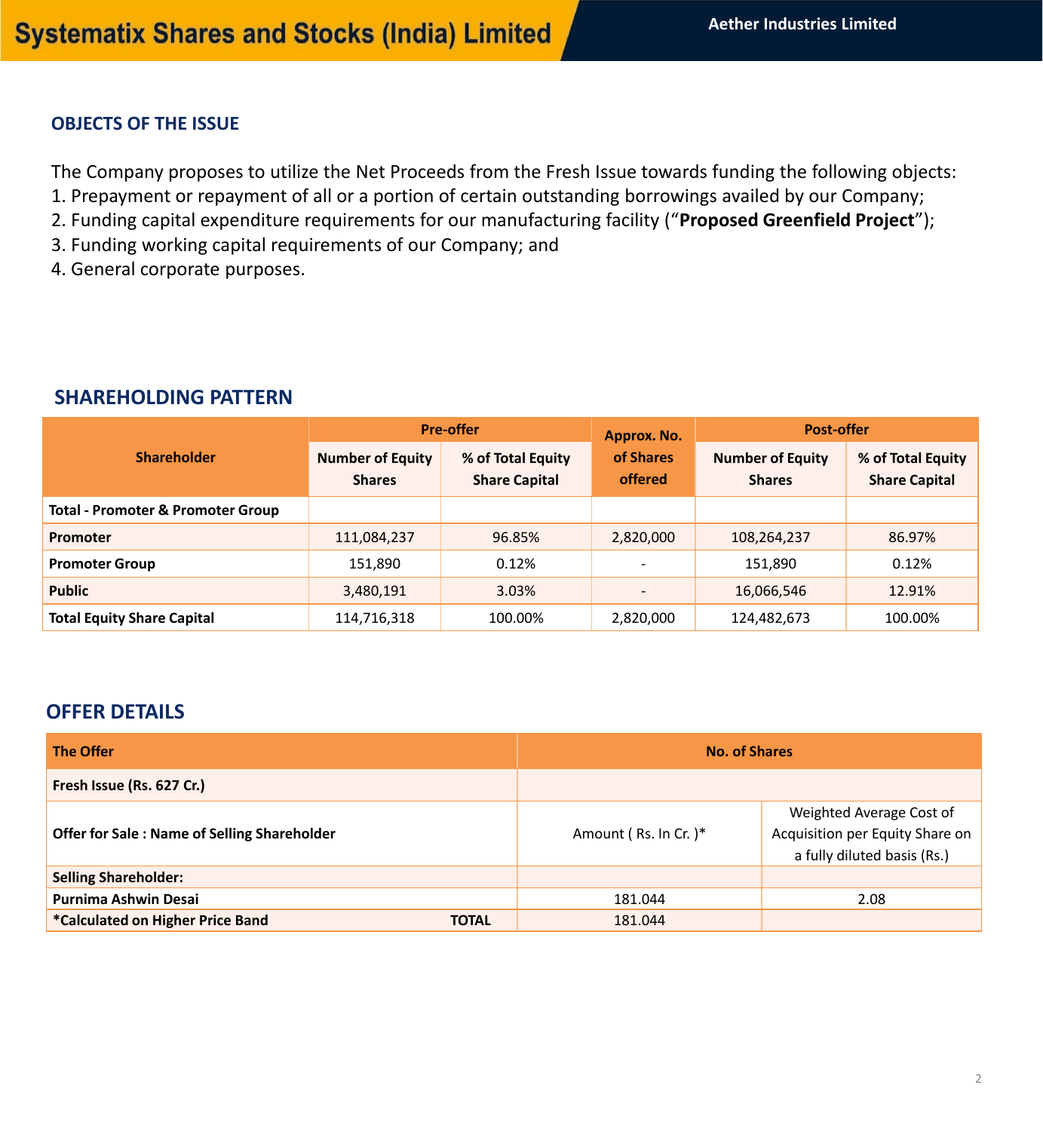### **OBJECTS OF THE ISSUE**

The Company proposes to utilize the Net Proceeds from the Fresh Issue towards funding the following objects:

- 1. Prepayment or repayment of all or a portion of certain outstanding borrowings availed by our Company;
- 2. Funding capital expenditure requirements for our manufacturing facility ("**Proposed Greenfield Project**");
- 3. Funding working capital requirements of our Company; and
- 4. General corporate purposes.

### **SHAREHOLDING PATTERN**

|                                              |                                          | <b>Pre-offer</b>                          | Approx. No.                 | <b>Post-offer</b>                        |                                           |  |
|----------------------------------------------|------------------------------------------|-------------------------------------------|-----------------------------|------------------------------------------|-------------------------------------------|--|
| <b>Shareholder</b>                           | <b>Number of Equity</b><br><b>Shares</b> | % of Total Equity<br><b>Share Capital</b> | of Shares<br><b>offered</b> | <b>Number of Equity</b><br><b>Shares</b> | % of Total Equity<br><b>Share Capital</b> |  |
| <b>Total - Promoter &amp; Promoter Group</b> |                                          |                                           |                             |                                          |                                           |  |
| Promoter                                     | 111,084,237                              | 96.85%                                    | 2,820,000                   | 108,264,237                              | 86.97%                                    |  |
| <b>Promoter Group</b>                        | 151,890                                  | 0.12%                                     |                             | 151,890                                  | 0.12%                                     |  |
| <b>Public</b>                                | 3,480,191                                | 3.03%                                     |                             | 16,066,546                               | 12.91%                                    |  |
| <b>Total Equity Share Capital</b>            | 114,716,318                              | 100.00%                                   | 2,820,000                   | 124,482,673                              | 100.00%                                   |  |

## **OFFER DETAILS**

| <b>The Offer</b>                                   | <b>No. of Shares</b>  |                                                                                            |  |
|----------------------------------------------------|-----------------------|--------------------------------------------------------------------------------------------|--|
| Fresh Issue (Rs. 627 Cr.)                          |                       |                                                                                            |  |
| <b>Offer for Sale: Name of Selling Shareholder</b> | Amount (Rs. In Cr. )* | Weighted Average Cost of<br>Acquisition per Equity Share on<br>a fully diluted basis (Rs.) |  |
| <b>Selling Shareholder:</b>                        |                       |                                                                                            |  |
| <b>Purnima Ashwin Desai</b>                        | 181.044               | 2.08                                                                                       |  |
| *Calculated on Higher Price Band<br><b>TOTAL</b>   | 181.044               |                                                                                            |  |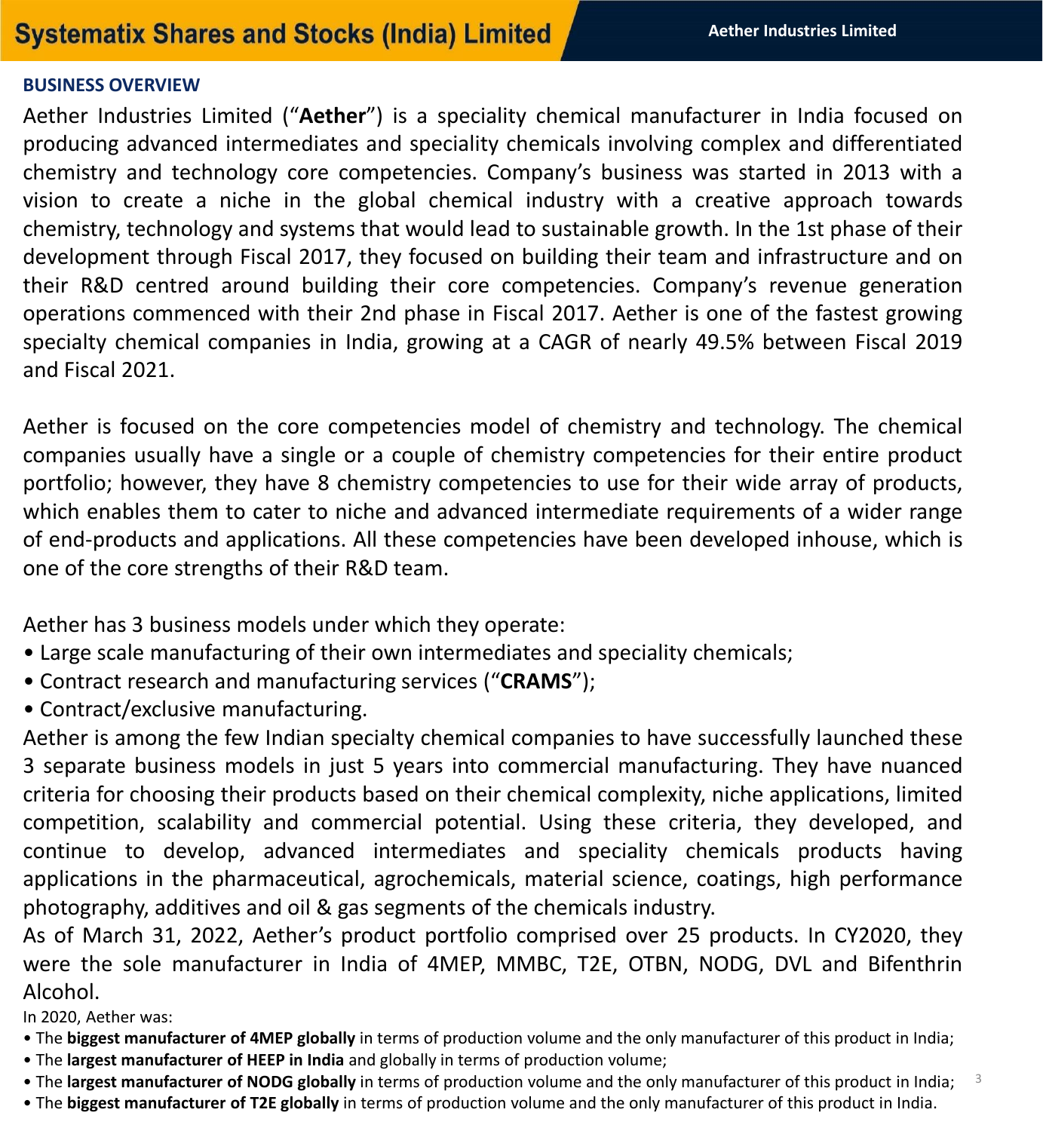# **Systematix Shares and Stocks (India) Limited**

## **BUSINESS OVERVIEW**

Aether Industries Limited ("**Aether**") is a speciality chemical manufacturer in India focused on producing advanced intermediates and speciality chemicals involving complex and differentiated chemistry and technology core competencies. Company's business was started in 2013 with a vision to create a niche in the global chemical industry with a creative approach towards chemistry, technology and systems that would lead to sustainable growth. In the 1st phase of their development through Fiscal 2017, they focused on building their team and infrastructure and on their R&D centred around building their core competencies. Company's revenue generation operations commenced with their 2nd phase in Fiscal 2017. Aether is one of the fastest growing specialty chemical companies in India, growing at a CAGR of nearly 49.5% between Fiscal 2019 and Fiscal 2021.

Aether is focused on the core competencies model of chemistry and technology. The chemical companies usually have a single or a couple of chemistry competencies for their entire product portfolio; however, they have 8 chemistry competencies to use for their wide array of products, which enables them to cater to niche and advanced intermediate requirements of a wider range of end-products and applications. All these competencies have been developed inhouse, which is one of the core strengths of their R&D team.

Aether has 3 business models under which they operate:

- Large scale manufacturing of their own intermediates and speciality chemicals;
- Contract research and manufacturing services ("**CRAMS**");
- Contract/exclusive manufacturing.

Aether is among the few Indian specialty chemical companies to have successfully launched these 3 separate business models in just 5 years into commercial manufacturing. They have nuanced criteria for choosing their products based on their chemical complexity, niche applications, limited competition, scalability and commercial potential. Using these criteria, they developed, and continue to develop, advanced intermediates and speciality chemicals products having applications in the pharmaceutical, agrochemicals, material science, coatings, high performance photography, additives and oil & gas segments of the chemicals industry.

As of March 31, 2022, Aether's product portfolio comprised over 25 products. In CY2020, they were the sole manufacturer in India of 4MEP, MMBC, T2E, OTBN, NODG, DVL and Bifenthrin Alcohol.

In 2020, Aether was:

- The **biggest manufacturer of 4MEP globally** in terms of production volume and the only manufacturer of this product in India;
- The **largest manufacturer of HEEP in India** and globally in terms of production volume;
- 3 • The **largest manufacturer of NODG globally** in terms of production volume and the only manufacturer of this product in India;
- The **biggest manufacturer of T2E globally** in terms of production volume and the only manufacturer of this product in India.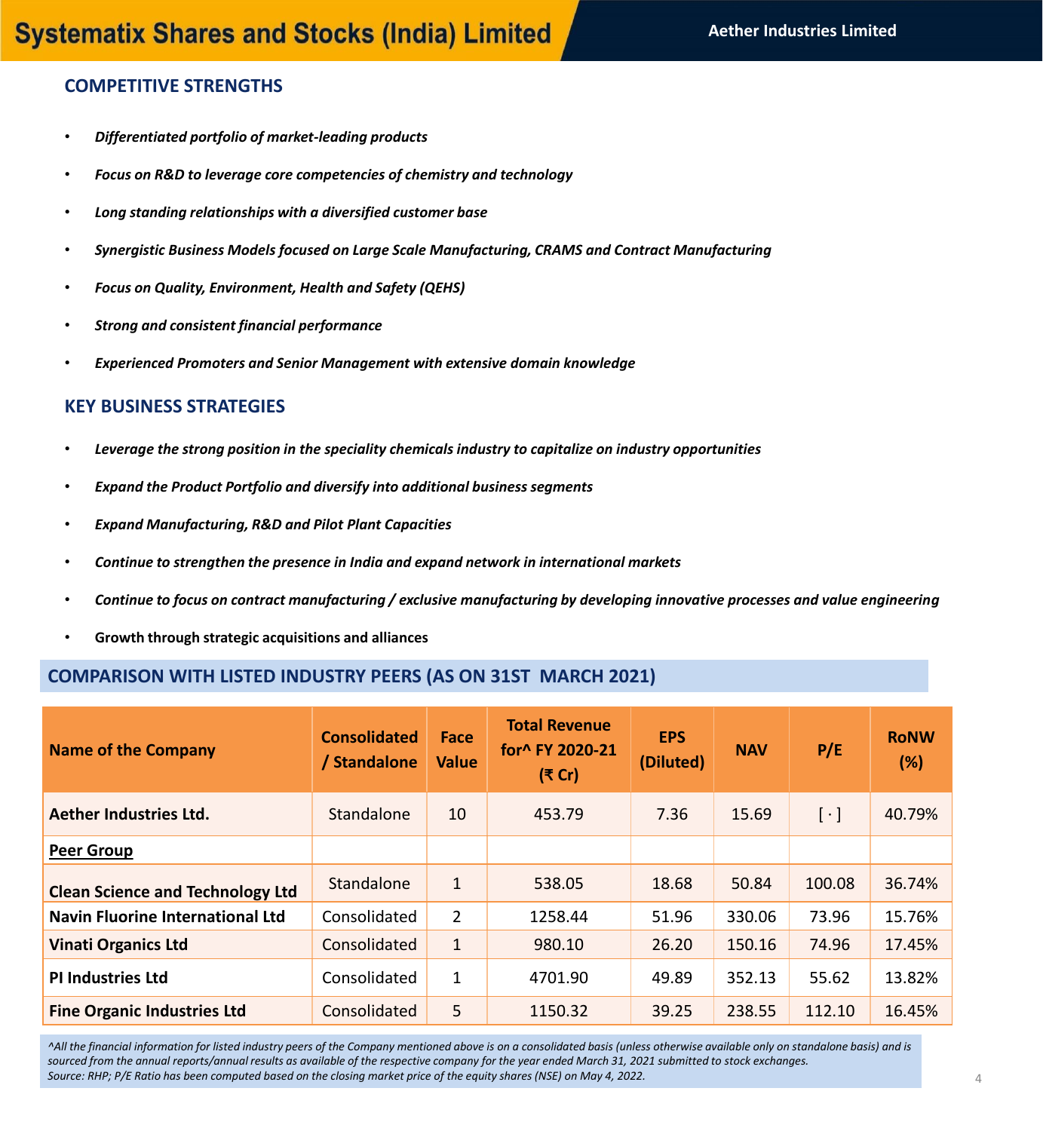### **COMPETITIVE STRENGTHS**

- *Differentiated portfolio of market-leading products*
- *Focus on R&D to leverage core competencies of chemistry and technology*
- *Long standing relationships with a diversified customer base*
- *Synergistic Business Models focused on Large Scale Manufacturing, CRAMS and Contract Manufacturing*
- *Focus on Quality, Environment, Health and Safety (QEHS)*
- *Strong and consistent financial performance*
- *Experienced Promoters and Senior Management with extensive domain knowledge*

### **KEY BUSINESS STRATEGIES**

- *Leverage the strong position in the speciality chemicals industry to capitalize on industry opportunities*
- *Expand the Product Portfolio and diversify into additional business segments*
- *Expand Manufacturing, R&D and Pilot Plant Capacities*
- *Continue to strengthen the presence in India and expand network in international markets*
- *Continue to focus on contract manufacturing / exclusive manufacturing by developing innovative processes and value engineering*
- **Growth through strategic acquisitions and alliances**

### **COMPARISON WITH LISTED INDUSTRY PEERS (AS ON 31ST MARCH 2021)**

| <b>Name of the Company</b>              | <b>Consolidated</b><br>/ Standalone | Face<br><b>Value</b> | <b>Total Revenue</b><br>for^ FY 2020-21<br>(₹ Cr) | <b>EPS</b><br>(Diluted) | <b>NAV</b> | P/E       | <b>RoNW</b><br>(%) |
|-----------------------------------------|-------------------------------------|----------------------|---------------------------------------------------|-------------------------|------------|-----------|--------------------|
| Aether Industries Ltd.                  | Standalone                          | 10                   | 453.79                                            | 7.36                    | 15.69      | $[\cdot]$ | 40.79%             |
| <b>Peer Group</b>                       |                                     |                      |                                                   |                         |            |           |                    |
| <b>Clean Science and Technology Ltd</b> | Standalone                          | $\mathbf{1}$         | 538.05                                            | 18.68                   | 50.84      | 100.08    | 36.74%             |
| <b>Navin Fluorine International Ltd</b> | Consolidated                        | $\overline{2}$       | 1258.44                                           | 51.96                   | 330.06     | 73.96     | 15.76%             |
| <b>Vinati Organics Ltd</b>              | Consolidated                        | $\mathbf{1}$         | 980.10                                            | 26.20                   | 150.16     | 74.96     | 17.45%             |
| <b>PI Industries Ltd</b>                | Consolidated                        | $\mathbf{1}$         | 4701.90                                           | 49.89                   | 352.13     | 55.62     | 13.82%             |
| <b>Fine Organic Industries Ltd</b>      | Consolidated                        | 5                    | 1150.32                                           | 39.25                   | 238.55     | 112.10    | 16.45%             |

*^All the financial information for listed industry peers of the Company mentioned above is on a consolidated basis (unless otherwise available only on standalone basis) and is sourced from the annual reports/annual results as available of the respective company for the year ended March 31, 2021 submitted to stock exchanges. Source: RHP; P/E Ratio has been computed based on the closing market price of the equity shares (NSE) on May 4, 2022.*